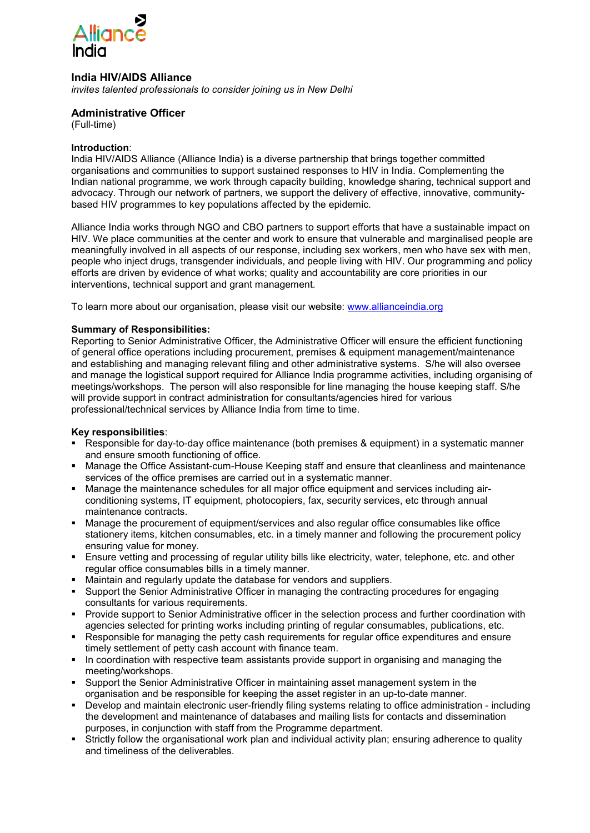

# **India HIV/AIDS Alliance**

*invites talented professionals to consider joining us in New Delhi* 

# **Administrative Officer**

(Full-time)

#### **Introduction**:

India HIV/AIDS Alliance (Alliance India) is a diverse partnership that brings together committed organisations and communities to support sustained responses to HIV in India. Complementing the Indian national programme, we work through capacity building, knowledge sharing, technical support and advocacy. Through our network of partners, we support the delivery of effective, innovative, communitybased HIV programmes to key populations affected by the epidemic.

Alliance India works through NGO and CBO partners to support efforts that have a sustainable impact on HIV. We place communities at the center and work to ensure that vulnerable and marginalised people are meaningfully involved in all aspects of our response, including sex workers, men who have sex with men, people who inject drugs, transgender individuals, and people living with HIV. Our programming and policy efforts are driven by evidence of what works; quality and accountability are core priorities in our interventions, technical support and grant management.

To learn more about our organisation, please visit our website: [www.allianceindia.org](http://www.allianceindia.org/) 

#### **Summary of Responsibilities:**

Reporting to Senior Administrative Officer, the Administrative Officer will ensure the efficient functioning of general office operations including procurement, premises & equipment management/maintenance and establishing and managing relevant filing and other administrative systems. S/he will also oversee and manage the logistical support required for Alliance India programme activities, including organising of meetings/workshops. The person will also responsible for line managing the house keeping staff. S/he will provide support in contract administration for consultants/agencies hired for various professional/technical services by Alliance India from time to time.

#### **Key responsibilities**:

- Responsible for day-to-day office maintenance (both premises & equipment) in a systematic manner and ensure smooth functioning of office.
- Manage the Office Assistant-cum-House Keeping staff and ensure that cleanliness and maintenance services of the office premises are carried out in a systematic manner.
- Manage the maintenance schedules for all major office equipment and services including airconditioning systems, IT equipment, photocopiers, fax, security services, etc through annual maintenance contracts.
- Manage the procurement of equipment/services and also regular office consumables like office stationery items, kitchen consumables, etc. in a timely manner and following the procurement policy ensuring value for money.
- **Ensure vetting and processing of regular utility bills like electricity, water, telephone, etc. and other** regular office consumables bills in a timely manner.
- Maintain and regularly update the database for vendors and suppliers.
- Support the Senior Administrative Officer in managing the contracting procedures for engaging consultants for various requirements.
- Provide support to Senior Administrative officer in the selection process and further coordination with agencies selected for printing works including printing of regular consumables, publications, etc.
- Responsible for managing the petty cash requirements for regular office expenditures and ensure timely settlement of petty cash account with finance team.
- In coordination with respective team assistants provide support in organising and managing the meeting/workshops.
- Support the Senior Administrative Officer in maintaining asset management system in the organisation and be responsible for keeping the asset register in an up-to-date manner.
- Develop and maintain electronic user-friendly filing systems relating to office administration including the development and maintenance of databases and mailing lists for contacts and dissemination purposes, in conjunction with staff from the Programme department.
- Strictly follow the organisational work plan and individual activity plan; ensuring adherence to quality and timeliness of the deliverables.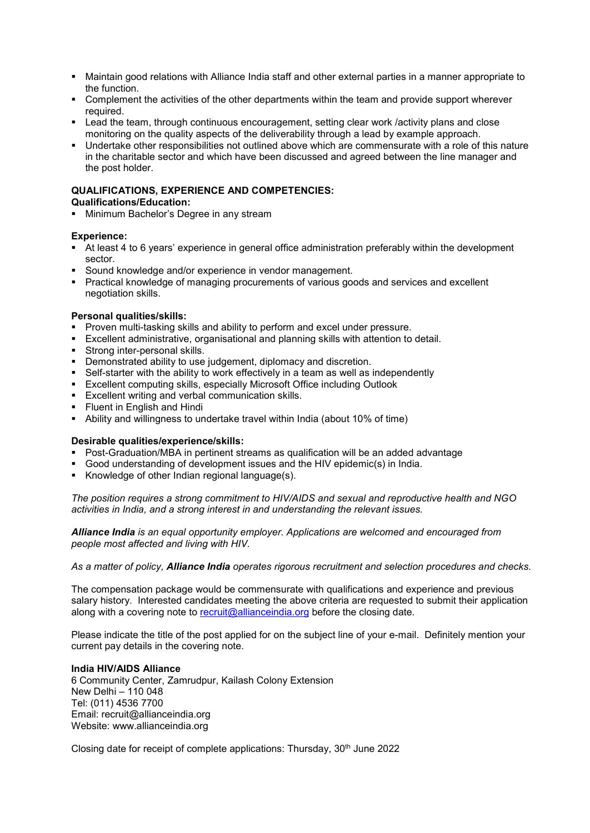- Maintain good relations with Alliance India staff and other external parties in a manner appropriate to the function.
- Complement the activities of the other departments within the team and provide support wherever required.
- Lead the team, through continuous encouragement, setting clear work /activity plans and close monitoring on the quality aspects of the deliverability through a lead by example approach.
- Undertake other responsibilities not outlined above which are commensurate with a role of this nature in the charitable sector and which have been discussed and agreed between the line manager and the post holder.

# **QUALIFICATIONS, EXPERIENCE AND COMPETENCIES:**

#### **Qualifications/Education:**

**Minimum Bachelor's Degree in any stream** 

# **Experience:**

- At least 4 to 6 years' experience in general office administration preferably within the development sector.
- Sound knowledge and/or experience in vendor management.
- **Practical knowledge of managing procurements of various goods and services and excellent** negotiation skills.

# **Personal qualities/skills:**

- **Proven multi-tasking skills and ability to perform and excel under pressure.**
- Excellent administrative, organisational and planning skills with attention to detail.
- Strong inter-personal skills.
- Demonstrated ability to use judgement, diplomacy and discretion.
- Self-starter with the ability to work effectively in a team as well as independently
- Excellent computing skills, especially Microsoft Office including Outlook
- **Excellent writing and verbal communication skills.**
- **Fillent in English and Hindi**
- Ability and willingness to undertake travel within India (about 10% of time)

# **Desirable qualities/experience/skills:**

- Post-Graduation/MBA in pertinent streams as qualification will be an added advantage
- Good understanding of development issues and the HIV epidemic(s) in India.
- Knowledge of other Indian regional language(s).

*The position requires a strong commitment to HIV/AIDS and sexual and reproductive health and NGO activities in India, and a strong interest in and understanding the relevant issues.* 

*Alliance India is an equal opportunity employer. Applications are welcomed and encouraged from people most affected and living with HIV.* 

*As a matter of policy, Alliance India operates rigorous recruitment and selection procedures and checks.* 

The compensation package would be commensurate with qualifications and experience and previous salary history. Interested candidates meeting the above criteria are requested to submit their application along with a covering note to [recruit@allianceindia.org](mailto:recruit@allianceindia.org) before the closing date.

Please indicate the title of the post applied for on the subject line of your e-mail. Definitely mention your current pay details in the covering note.

# **India HIV/AIDS Alliance**

6 Community Center, Zamrudpur, Kailash Colony Extension New Delhi – 110 048 Tel: (011) 4536 7700 Email: recruit@allianceindia.org Website: www.allianceindia.org

Closing date for receipt of complete applications: Thursday, 30<sup>th</sup> June 2022